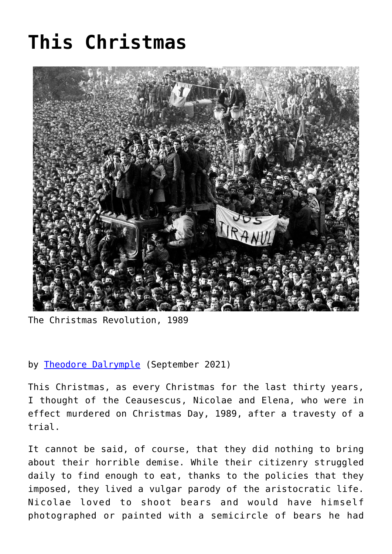## **[This Christmas](https://www.newenglishreview.org/articles/this-christmas/)**



The Christmas Revolution, 1989

## by [Theodore Dalrymple](https://www.newenglishreview.org/authors/theodore-dalrymple/?) (September 2021)

This Christmas, as every Christmas for the last thirty years, I thought of the Ceausescus, Nicolae and Elena, who were in effect murdered on Christmas Day, 1989, after a travesty of a trial.

It cannot be said, of course, that they did nothing to bring about their horrible demise. While their citizenry struggled daily to find enough to eat, thanks to the policies that they imposed, they lived a vulgar parody of the aristocratic life. Nicolae loved to shoot bears and would have himself photographed or painted with a semicircle of bears he had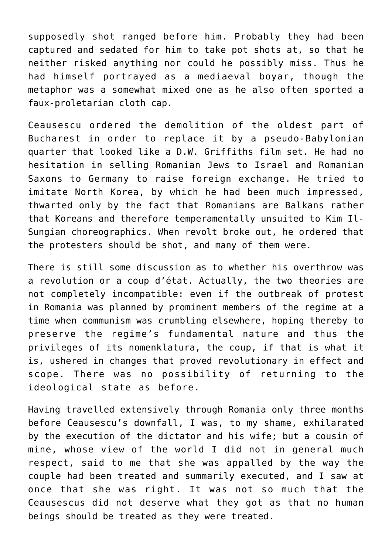supposedly shot ranged before him. Probably they had been captured and sedated for him to take pot shots at, so that he neither risked anything nor could he possibly miss. Thus he had himself portrayed as a mediaeval boyar, though the metaphor was a somewhat mixed one as he also often sported a faux-proletarian cloth cap.

Ceausescu ordered the demolition of the oldest part of Bucharest in order to replace it by a pseudo-Babylonian quarter that looked like a D.W. Griffiths film set. He had no hesitation in selling Romanian Jews to Israel and Romanian Saxons to Germany to raise foreign exchange. He tried to imitate North Korea, by which he had been much impressed, thwarted only by the fact that Romanians are Balkans rather that Koreans and therefore temperamentally unsuited to Kim Il-Sungian choreographics. When revolt broke out, he ordered that the protesters should be shot, and many of them were.

There is still some discussion as to whether his overthrow was a revolution or a coup d'état. Actually, the two theories are not completely incompatible: even if the outbreak of protest in Romania was planned by prominent members of the regime at a time when communism was crumbling elsewhere, hoping thereby to preserve the regime's fundamental nature and thus the privileges of its nomenklatura, the coup, if that is what it is, ushered in changes that proved revolutionary in effect and scope. There was no possibility of returning to the ideological state as before.

Having travelled extensively through Romania only three months before Ceausescu's downfall, I was, to my shame, exhilarated by the execution of the dictator and his wife; but a cousin of mine, whose view of the world I did not in general much respect, said to me that she was appalled by the way the couple had been treated and summarily executed, and I saw at once that she was right. It was not so much that the Ceausescus did not deserve what they got as that no human beings should be treated as they were treated.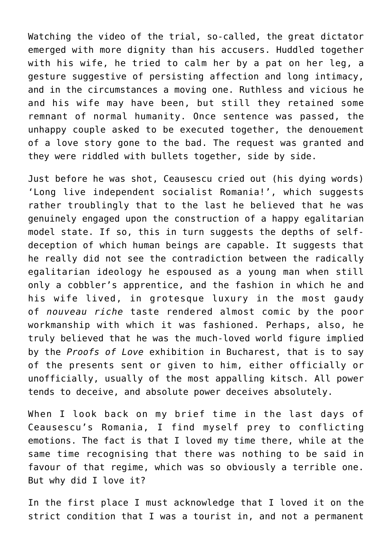Watching the video of the trial, so-called, the great dictator emerged with more dignity than his accusers. Huddled together with his wife, he tried to calm her by a pat on her leg, a gesture suggestive of persisting affection and long intimacy, and in the circumstances a moving one. Ruthless and vicious he and his wife may have been, but still they retained some remnant of normal humanity. Once sentence was passed, the unhappy couple asked to be executed together, the denouement of a love story gone to the bad. The request was granted and they were riddled with bullets together, side by side.

Just before he was shot, Ceausescu cried out (his dying words) 'Long live independent socialist Romania!', which suggests rather troublingly that to the last he believed that he was genuinely engaged upon the construction of a happy egalitarian model state. If so, this in turn suggests the depths of selfdeception of which human beings are capable. It suggests that he really did not see the contradiction between the radically egalitarian ideology he espoused as a young man when still only a cobbler's apprentice, and the fashion in which he and his wife lived, in grotesque luxury in the most gaudy of *nouveau riche* taste rendered almost comic by the poor workmanship with which it was fashioned. Perhaps, also, he truly believed that he was the much-loved world figure implied by the *Proofs of Love* exhibition in Bucharest, that is to say of the presents sent or given to him, either officially or unofficially, usually of the most appalling kitsch. All power tends to deceive, and absolute power deceives absolutely.

When I look back on my brief time in the last days of Ceausescu's Romania, I find myself prey to conflicting emotions. The fact is that I loved my time there, while at the same time recognising that there was nothing to be said in favour of that regime, which was so obviously a terrible one. But why did I love it?

In the first place I must acknowledge that I loved it on the strict condition that I was a tourist in, and not a permanent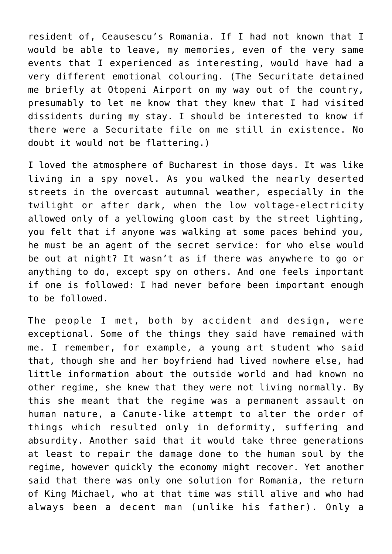resident of, Ceausescu's Romania. If I had not known that I would be able to leave, my memories, even of the very same events that I experienced as interesting, would have had a very different emotional colouring. (The Securitate detained me briefly at Otopeni Airport on my way out of the country, presumably to let me know that they knew that I had visited dissidents during my stay. I should be interested to know if there were a Securitate file on me still in existence. No doubt it would not be flattering.)

I loved the atmosphere of Bucharest in those days. It was like living in a spy novel. As you walked the nearly deserted streets in the overcast autumnal weather, especially in the twilight or after dark, when the low voltage-electricity allowed only of a yellowing gloom cast by the street lighting, you felt that if anyone was walking at some paces behind you, he must be an agent of the secret service: for who else would be out at night? It wasn't as if there was anywhere to go or anything to do, except spy on others. And one feels important if one is followed: I had never before been important enough to be followed.

The people I met, both by accident and design, were exceptional. Some of the things they said have remained with me. I remember, for example, a young art student who said that, though she and her boyfriend had lived nowhere else, had little information about the outside world and had known no other regime, she knew that they were not living normally. By this she meant that the regime was a permanent assault on human nature, a Canute-like attempt to alter the order of things which resulted only in deformity, suffering and absurdity. Another said that it would take three generations at least to repair the damage done to the human soul by the regime, however quickly the economy might recover. Yet another said that there was only one solution for Romania, the return of King Michael, who at that time was still alive and who had always been a decent man (unlike his father). Only a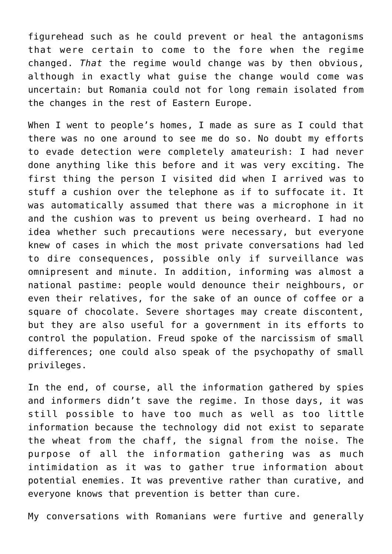figurehead such as he could prevent or heal the antagonisms that were certain to come to the fore when the regime changed. *That* the regime would change was by then obvious, although in exactly what guise the change would come was uncertain: but Romania could not for long remain isolated from the changes in the rest of Eastern Europe.

When I went to people's homes, I made as sure as I could that there was no one around to see me do so. No doubt my efforts to evade detection were completely amateurish: I had never done anything like this before and it was very exciting. The first thing the person I visited did when I arrived was to stuff a cushion over the telephone as if to suffocate it. It was automatically assumed that there was a microphone in it and the cushion was to prevent us being overheard. I had no idea whether such precautions were necessary, but everyone knew of cases in which the most private conversations had led to dire consequences, possible only if surveillance was omnipresent and minute. In addition, informing was almost a national pastime: people would denounce their neighbours, or even their relatives, for the sake of an ounce of coffee or a square of chocolate. Severe shortages may create discontent, but they are also useful for a government in its efforts to control the population. Freud spoke of the narcissism of small differences; one could also speak of the psychopathy of small privileges.

In the end, of course, all the information gathered by spies and informers didn't save the regime. In those days, it was still possible to have too much as well as too little information because the technology did not exist to separate the wheat from the chaff, the signal from the noise. The purpose of all the information gathering was as much intimidation as it was to gather true information about potential enemies. It was preventive rather than curative, and everyone knows that prevention is better than cure.

My conversations with Romanians were furtive and generally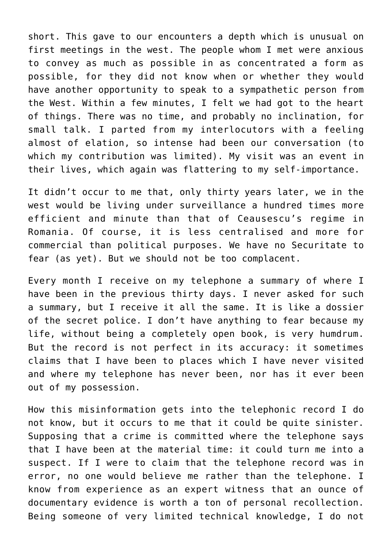short. This gave to our encounters a depth which is unusual on first meetings in the west. The people whom I met were anxious to convey as much as possible in as concentrated a form as possible, for they did not know when or whether they would have another opportunity to speak to a sympathetic person from the West. Within a few minutes, I felt we had got to the heart of things. There was no time, and probably no inclination, for small talk. I parted from my interlocutors with a feeling almost of elation, so intense had been our conversation (to which my contribution was limited). My visit was an event in their lives, which again was flattering to my self-importance.

It didn't occur to me that, only thirty years later, we in the west would be living under surveillance a hundred times more efficient and minute than that of Ceausescu's regime in Romania. Of course, it is less centralised and more for commercial than political purposes. We have no Securitate to fear (as yet). But we should not be too complacent.

Every month I receive on my telephone a summary of where I have been in the previous thirty days. I never asked for such a summary, but I receive it all the same. It is like a dossier of the secret police. I don't have anything to fear because my life, without being a completely open book, is very humdrum. But the record is not perfect in its accuracy: it sometimes claims that I have been to places which I have never visited and where my telephone has never been, nor has it ever been out of my possession.

How this misinformation gets into the telephonic record I do not know, but it occurs to me that it could be quite sinister. Supposing that a crime is committed where the telephone says that I have been at the material time: it could turn me into a suspect. If I were to claim that the telephone record was in error, no one would believe me rather than the telephone. I know from experience as an expert witness that an ounce of documentary evidence is worth a ton of personal recollection. Being someone of very limited technical knowledge, I do not